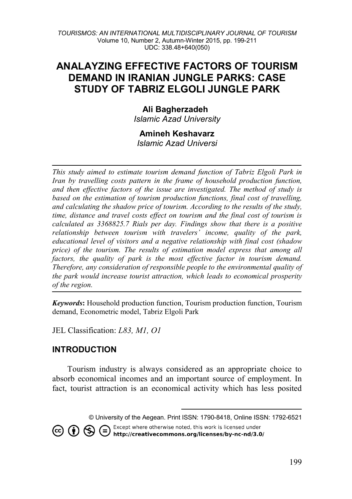# **ANALAYZING EFFECTIVE FACTORS OF TOURISM DEMAND IN IRANIAN JUNGLE PARKS: CASE STUDY OF TABRIZ ELGOLI JUNGLE PARK**

## **Ali Bagherzadeh**

*Islamic Azad University* 

# **Amineh Keshavarz**

*Islamic Azad Universi*

*This study aimed to estimate tourism demand function of Tabriz Elgoli Park in Iran by travelling costs pattern in the frame of household production function. and then effective factors of the issue are investigated. The method of study is based on the estimation of tourism production functions, final cost of travelling, and calculating the shadow price of tourism. According to the results of the study, time, distance and travel costs effect on tourism and the final cost of tourism is calculated as 3368825.7 Rials per day. Findings show that there is a positive relationship between tourism with travelers' income, quality of the park, educational level of visitors and a negative relationship with final cost (shadow price) of the tourism. The results of estimation model express that among all*  factors, the quality of park is the most effective factor in tourism demand. *Therefore, any consideration of responsible people to the environmental quality of the park would increase tourist attraction, which leads to economical prosperity of the region.* 

*Keywords***:** Household production function, Tourism production function, Tourism demand, Econometric model, Tabriz Elgoli Park

JEL Classification: *L83, M1, O1*

## **INTRODUCTION**

Tourism industry is always considered as an appropriate choice to absorb economical incomes and an important source of employment. In fact, tourist attraction is an economical activity which has less posited

> $\overline{\phantom{a}}$ © University of the Aegean. Print ISSN: 1790-8418, Online ISSN: 1792-6521

<span id="page-0-0"></span>Except where otherwise noted, this work is licensed under CO CO S C Except where otherwise noted, this work is licensed under<br>http://creativecommons.org/licenses/by-nc-nd/3.0/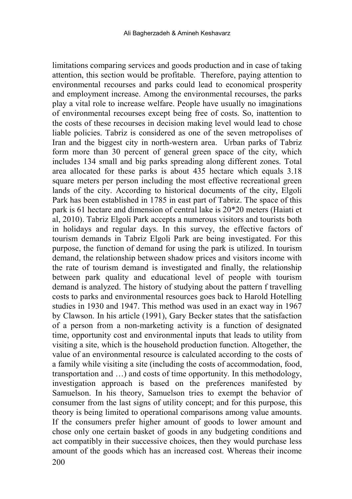200 limitations comparing services and goods production and in case of taking attention, this section would be profitable. Therefore, paying attention to environmental recourses and parks could lead to economical prosperity and employment increase. Among the environmental recourses, the parks play a vital role to increase welfare. People have usually no imaginations of environmental recourses except being free of costs. So, inattention to the costs of these recourses in decision making level would lead to chose liable policies. Tabriz is considered as one of the seven metropolises of Iran and the biggest city in north-western area. Urban parks of Tabriz form more than 30 percent of general green space of the city, which includes 134 small and big parks spreading along different zones. Total area allocated for these parks is about 435 hectare which equals 3.18 square meters per person including the most effective recreational green lands of the city. According to historical documents of the city, Elgoli Park has been established in 1785 in east part of Tabriz. The space of this park is 61 hectare and dimension of central lake is 20\*20 meters (Haiati et al, 2010). Tabriz Elgoli Park accepts a numerous visitors and tourists both in holidays and regular days. In this survey, the effective factors of tourism demands in Tabriz Elgoli Park are being investigated. For this purpose, the function of demand for using the park is utilized. In tourism demand, the relationship between shadow prices and visitors income with the rate of tourism demand is investigated and finally, the relationship between park quality and educational level of people with tourism demand is analyzed. The history of studying about the pattern f travelling costs to parks and environmental resources goes back to Harold Hotelling studies in 1930 and 1947. This method was used in an exact way in 1967 by Clawson. In his article (1991), Gary Becker states that the satisfaction of a person from a non-marketing activity is a function of designated time, opportunity cost and environmental inputs that leads to utility from visiting a site, which is the household production function. Altogether, the value of an environmental resource is calculated according to the costs of a family while visiting a site (including the costs of accommodation, food, transportation and …) and costs of time opportunity. In this methodology, investigation approach is based on the preferences manifested by Samuelson. In his theory, Samuelson tries to exempt the behavior of consumer from the last signs of utility concept; and for this purpose, this theory is being limited to operational comparisons among value amounts. If the consumers prefer higher amount of goods to lower amount and chose only one certain basket of goods in any budgeting conditions and act compatibly in their successive choices, then they would purchase less amount of the goods which has an increased cost. Whereas their income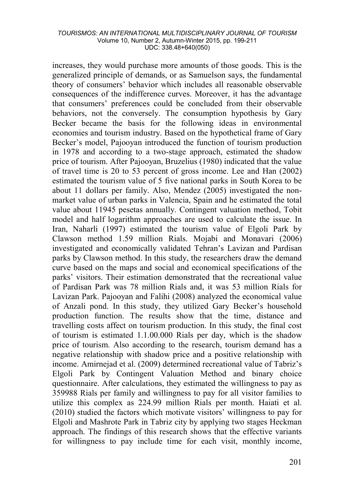increases, they would purchase more amounts of those goods. This is the generalized principle of demands, or as Samuelson says, the fundamental theory of consumers' behavior which includes all reasonable observable consequences of the indifference curves. Moreover, it has the advantage that consumers' preferences could be concluded from their observable behaviors, not the conversely. The consumption hypothesis by Gary Becker became the basis for the following ideas in environmental economies and tourism industry. Based on the hypothetical frame of Gary Becker's model, Pajooyan introduced the function of tourism production in 1978 and according to a two-stage approach, estimated the shadow price of tourism. After Pajooyan, Bruzelius (1980) indicated that the value of travel time is 20 to 53 percent of gross income. Lee and Han (2002) estimated the tourism value of 5 five national parks in South Korea to be about 11 dollars per family. Also, Mendez (2005) investigated the nonmarket value of urban parks in Valencia, Spain and he estimated the total value about 11945 pesetas annually. Contingent valuation method, Tobit model and half logarithm approaches are used to calculate the issue. In Iran, Naharli (1997) estimated the tourism value of Elgoli Park by Clawson method 1.59 million Rials. Mojabi and Monavari (2006) investigated and economically validated Tehran's Lavizan and Pardisan parks by Clawson method. In this study, the researchers draw the demand curve based on the maps and social and economical specifications of the parks' visitors. Their estimation demonstrated that the recreational value of Pardisan Park was 78 million Rials and, it was 53 million Rials for Lavizan Park. Pajooyan and Falihi (2008) analyzed the economical value of Anzali pond. In this study, they utilized Gary Becker's household production function. The results show that the time, distance and travelling costs affect on tourism production. In this study, the final cost of tourism is estimated 1.1.00.000 Rials per day, which is the shadow price of tourism. Also according to the research, tourism demand has a negative relationship with shadow price and a positive relationship with income. Amirnejad et al. (2009) determined recreational value of Tabriz's Elgoli Park by Contingent Valuation Method and binary choice questionnaire. After calculations, they estimated the willingness to pay as 359988 Rials per family and willingness to pay for all visitor families to utilize this complex as 224.99 million Rials per month. Haiati et al. (2010) studied the factors which motivate visitors' willingness to pay for Elgoli and Mashrote Park in Tabriz city by applying two stages Heckman approach. The findings of this research shows that the effective variants for willingness to pay include time for each visit, monthly income,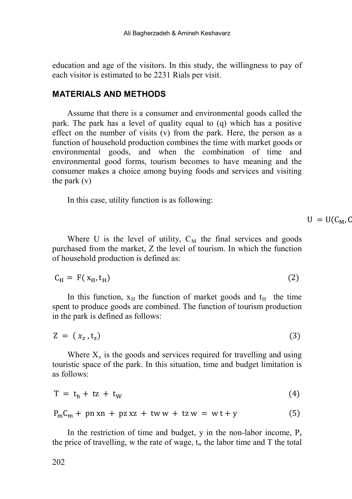education and age of the visitors. In this study, the willingness to pay of each visitor is estimated to be 2231 Rials per visit.

### **MATERIALS AND METHODS**

Assume that there is a consumer and environmental goods called the park. The park has a level of quality equal to (q) which has a positive effect on the number of visits (v) from the park. Here, the person as a function of household production combines the time with market goods or environmental goods, and when the combination of time and environmental good forms, tourism becomes to have meaning and the consumer makes a choice among buying foods and services and visiting the park (v)

In this case, utility function is as following:

 $U = U(C_M, C_M)$ 

Where U is the level of utility,  $C_M$  the final services and goods purchased from the market, Z the level of tourism. In which the function of household production is defined as:

$$
C_H = F(x_H, t_H) \tag{2}
$$

In this function,  $x_H$  the function of market goods and  $t_H$  the time spent to produce goods are combined. The function of tourism production in the park is defined as follows:

$$
Z = (x_z, t_z) \tag{3}
$$

Where  $X<sub>z</sub>$  is the goods and services required for travelling and using touristic space of the park. In this situation, time and budget limitation is as follows:

$$
T = t_h + tz + t_W \tag{4}
$$

$$
P_m C_m + pn xn + pz xz + tww + tzw = wt + y \tag{5}
$$

In the restriction of time and budget, y in the non-labor income,  $P_z$ the price of travelling, w the rate of wage,  $t_w$  the labor time and T the total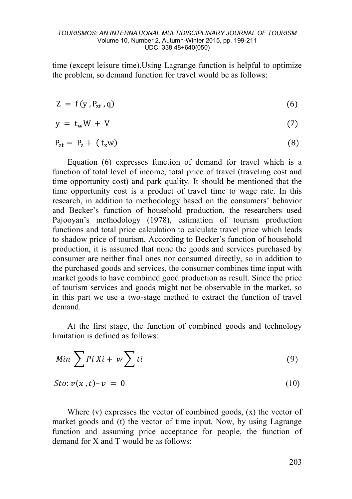time (except leisure time).Using Lagrange function is helpful to optimize the problem, so demand function for travel would be as follows:

$$
Z = f(y, P_{zt}, q) \tag{6}
$$

$$
y = t_w W + V \tag{7}
$$

$$
P_{zt} = P_z + (t_z w)
$$
 (8)

Equation (6) expresses function of demand for travel which is a function of total level of income, total price of travel (traveling cost and time opportunity cost) and park quality. It should be mentioned that the time opportunity cost is a product of travel time to wage rate. In this research, in addition to methodology based on the consumers' behavior and Becker's function of household production, the researchers used Pajooyan's methodology (1978), estimation of tourism production functions and total price calculation to calculate travel price which leads to shadow price of tourism. According to Becker's function of household production, it is assumed that none the goods and services purchased by consumer are neither final ones nor consumed directly, so in addition to the purchased goods and services, the consumer combines time input with market goods to have combined good production as result. Since the price of tourism services and goods might not be observable in the market, so in this part we use a two-stage method to extract the function of travel demand.

At the first stage, the function of combined goods and technology limitation is defined as follows:

$$
Min \sum P i X i + w \sum t i \tag{9}
$$

$$
Sto: \nu(x,t)-\nu = 0 \tag{10}
$$

Where (v) expresses the vector of combined goods, (x) the vector of market goods and (t) the vector of time input. Now, by using Lagrange function and assuming price acceptance for people, the function of demand for X and T would be as follows: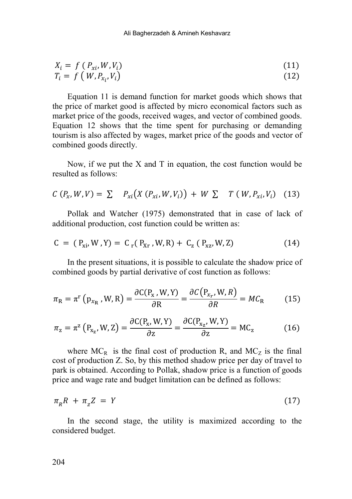$$
X_i = f(P_{xi}, W, V_i)
$$
  
\n
$$
T_i = f(W, P_{x_i}, V_i)
$$
\n(11)

Equation 11 is demand function for market goods which shows that the price of market good is affected by micro economical factors such as market price of the goods, received wages, and vector of combined goods. Equation 12 shows that the time spent for purchasing or demanding tourism is also affected by wages, market price of the goods and vector of combined goods directly.

Now, if we put the X and T in equation, the cost function would be resulted as follows:

$$
C(P_x, W, V) = \sum P_{xi}(X(P_{xi}, W, V_i)) + W \sum T(W, P_{xi}, V_i)
$$
 (13)

Pollak and Watcher (1975) demonstrated that in case of lack of additional production, cost function could be written as:

$$
C = (P_{xi}, W, Y) = Cr(P_{Xr}, W, R) + Cz(P_{xz}, W, Z)
$$
 (14)

In the present situations, it is possible to calculate the shadow price of combined goods by partial derivative of cost function as follows:

$$
\pi_{\rm R} = \pi^{\rm r} \left( \mathbf{p}_{x_{\rm R}}, W, \mathbf{R} \right) = \frac{\partial \mathcal{C}(\mathbf{p}_{x}, W, \mathbf{Y})}{\partial \mathbf{R}} = \frac{\partial \mathcal{C}(\mathbf{p}_{x_{r}}, W, \mathbf{R})}{\partial \mathbf{R}} = M C_{\rm R} \tag{15}
$$

$$
\pi_z = \pi^z \left( P_{x_z}, W, Z \right) = \frac{\partial C(P_x, W, Y)}{\partial z} = \frac{\partial C(P_{x_z}, W, Y)}{\partial z} = MC_z \tag{16}
$$

where  $MC_R$  is the final cost of production R, and  $MC_Z$  is the final cost of production Z. So, by this method shadow price per day of travel to park is obtained. According to Pollak, shadow price is a function of goods price and wage rate and budget limitation can be defined as follows:

$$
\pi_R R + \pi_z Z = Y \tag{17}
$$

In the second stage, the utility is maximized according to the considered budget.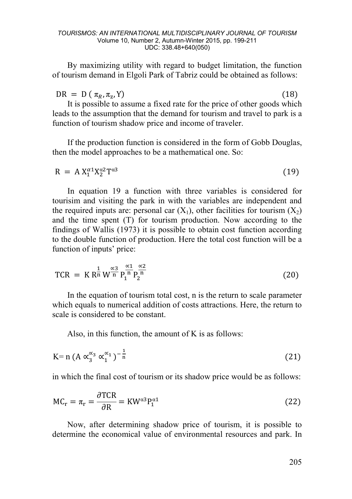By maximizing utility with regard to budget limitation, the function of tourism demand in Elgoli Park of Tabriz could be obtained as follows:

 $DR = D (\pi_R, \pi_z, Y)$  (18)

It is possible to assume a fixed rate for the price of other goods which leads to the assumption that the demand for tourism and travel to park is a function of tourism shadow price and income of traveler.

If the production function is considered in the form of Gobb Douglas, then the model approaches to be a mathematical one. So:

$$
R = A X_1^{\alpha 1} X_2^{\alpha 2} T^{\alpha 3} \tag{19}
$$

In equation 19 a function with three variables is considered for tourisim and visiting the park in with the variables are independent and the required inputs are: personal car  $(X_1)$ , other facilities for tourism  $(X_2)$ and the time spent (T) for tourism production. Now according to the findings of Wallis (1973) it is possible to obtain cost function according to the double function of production. Here the total cost function will be a function of inputs' price:

$$
TCR = K R_{n}^{\frac{1}{n}} W_{n}^{\frac{\alpha_{3}}{n}} P_{1}^{\frac{\alpha_{1}}{n}} P_{2}^{\frac{\alpha_{2}}{n}}
$$
(20)

In the equation of tourism total cost, n is the return to scale parameter which equals to numerical addition of costs attractions. Here, the return to scale is considered to be constant.

Also, in this function, the amount of K is as follows:

$$
K=n (A \alpha_3^{\alpha_3} \alpha_1^{\alpha_1})^{-\frac{1}{n}} \tag{21}
$$

in which the final cost of tourism or its shadow price would be as follows:

$$
MC_r = \pi_r = \frac{\partial TCR}{\partial R} = KW^{\alpha 3} P_1^{\alpha 1}
$$
 (22)

Now, after determining shadow price of tourism, it is possible to determine the economical value of environmental resources and park. In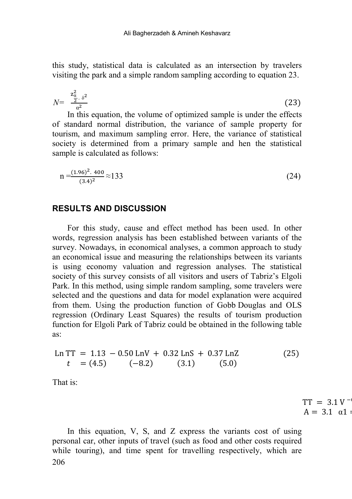this study, statistical data is calculated as an intersection by travelers visiting the park and a simple random sampling according to equation 23.

$$
N = \frac{z_{\frac{\alpha}{2},\delta^2}}{a^2} \tag{23}
$$

In this equation, the volume of optimized sample is under the effects of standard normal distribution, the variance of sample property for tourism, and maximum sampling error. Here, the variance of statistical society is determined from a primary sample and hen the statistical sample is calculated as follows:

$$
n = \frac{(1.96)^2 \cdot 400}{(3.4)^2} \approx 133
$$
 (24)

### **RESULTS AND DISCUSSION**

For this study, cause and effect method has been used. In other words, regression analysis has been established between variants of the survey. Nowadays, in economical analyses, a common approach to study an economical issue and measuring the relationships between its variants is using economy valuation and regression analyses. The statistical society of this survey consists of all visitors and users of Tabriz's Elgoli Park. In this method, using simple random sampling, some travelers were selected and the questions and data for model explanation were acquired from them. Using the production function of Gobb Douglas and OLS regression (Ordinary Least Squares) the results of tourism production function for Elgoli Park of Tabriz could be obtained in the following table as:

$$
\text{Ln TT} = 1.13 - 0.50 \text{ LnV} + 0.32 \text{ LnS} + 0.37 \text{ LnZ} \n t = (4.5) \quad (-8.2) \quad (3.1) \quad (5.0)
$$
\n(25)

That is:

 $TT = 3.1 V^ A = 3.1 \alpha 1$ 

206 In this equation, V, S, and Z express the variants cost of using personal car, other inputs of travel (such as food and other costs required while touring), and time spent for travelling respectively, which are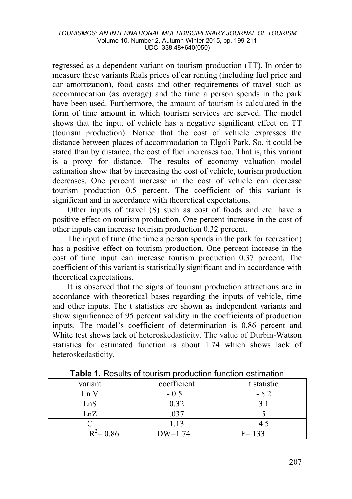regressed as a dependent variant on tourism production (TT). In order to measure these variants Rials prices of car renting (including fuel price and car amortization), food costs and other requirements of travel such as accommodation (as average) and the time a person spends in the park have been used. Furthermore, the amount of tourism is calculated in the form of time amount in which tourism services are served. The model shows that the input of vehicle has a negative significant effect on TT (tourism production). Notice that the cost of vehicle expresses the distance between places of accommodation to Elgoli Park. So, it could be stated than by distance, the cost of fuel increases too. That is, this variant is a proxy for distance. The results of economy valuation model estimation show that by increasing the cost of vehicle, tourism production decreases. One percent increase in the cost of vehicle can decrease tourism production 0.5 percent. The coefficient of this variant is significant and in accordance with theoretical expectations.

Other inputs of travel (S) such as cost of foods and etc. have a positive effect on tourism production. One percent increase in the cost of other inputs can increase tourism production 0.32 percent.

The input of time (the time a person spends in the park for recreation) has a positive effect on tourism production. One percent increase in the cost of time input can increase tourism production 0.37 percent. The coefficient of this variant is statistically significant and in accordance with theoretical expectations.

It is observed that the signs of tourism production attractions are in accordance with theoretical bases regarding the inputs of vehicle, time and other inputs. The t statistics are shown as independent variants and show significance of 95 percent validity in the coefficients of production inputs. The model's coefficient of determination is 0.86 percent and White test shows lack of heteroskedasticity. The value of Durbin-Watson statistics for estimated function is about 1.74 which shows lack of heteroskedasticity.

| variant      | coefficient | t statistic |
|--------------|-------------|-------------|
| Ln V         | $-0.5$      |             |
| LnS          | 0.32        |             |
| LnZ          |             |             |
|              | 1.13        |             |
| $R^2 = 0.86$ | $DW=1.74$   | $F = 133$   |

**Table 1.** Results of tourism production function estimation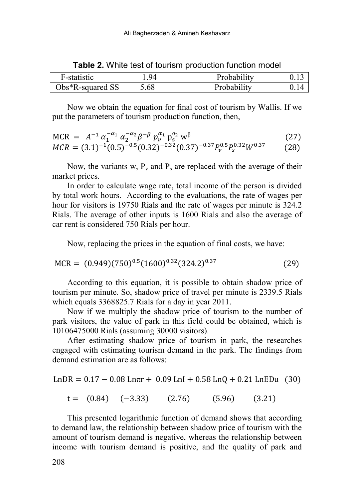| F-statistic           | Q4  | Probability |  |
|-----------------------|-----|-------------|--|
| $Obs*R$ -squared $SS$ | ,68 | Probability |  |

**Table 2.** White test of tourism production function model

Now we obtain the equation for final cost of tourism by Wallis. If we put the parameters of tourism production function, then,

$$
MCR = A^{-1} \alpha_1^{-\alpha_1} \alpha_2^{-\alpha_2} \beta^{-\beta} p_v^{\alpha_1} p_s^{\alpha_2} w^\beta
$$
 (27)

$$
MCR = (3.1)^{-1}(0.5)^{-0.5}(0.32)^{-0.32}(0.37)^{-0.37}P_v^{0.5}P_s^{0.32}W^{0.37}
$$
 (28)

Now, the variants w,  $P_v$  and  $P_s$  are replaced with the average of their market prices.

In order to calculate wage rate, total income of the person is divided by total work hours. According to the evaluations, the rate of wages per hour for visitors is 19750 Rials and the rate of wages per minute is 324.2 Rials. The average of other inputs is 1600 Rials and also the average of car rent is considered 750 Rials per hour.

Now, replacing the prices in the equation of final costs, we have:

$$
MCR = (0.949)(750)^{0.5}(1600)^{0.32}(324.2)^{0.37}
$$
 (29)

According to this equation, it is possible to obtain shadow price of tourism per minute. So, shadow price of travel per minute is 2339.5 Rials which equals 3368825.7 Rials for a day in year 2011.

Now if we multiply the shadow price of tourism to the number of park visitors, the value of park in this field could be obtained, which is 10106475000 Rials (assuming 30000 visitors).

After estimating shadow price of tourism in park, the researches engaged with estimating tourism demand in the park. The findings from demand estimation are as follows:

$$
LnDR = 0.17 - 0.08 Lnπr + 0.09 LnI + 0.58 LnQ + 0.21 LnEDu (30)
$$

$$
t = (0.84) (-3.33) (2.76) (5.96) (3.21)
$$

This presented logarithmic function of demand shows that according to demand law, the relationship between shadow price of tourism with the amount of tourism demand is negative, whereas the relationship between income with tourism demand is positive, and the quality of park and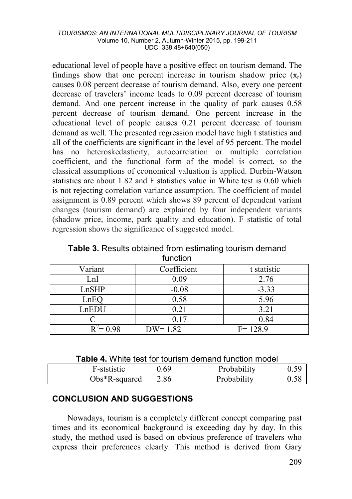educational level of people have a positive effect on tourism demand. The findings show that one percent increase in tourism shadow price  $(\pi)$ causes 0.08 percent decrease of tourism demand. Also, every one percent decrease of travelers' income leads to 0.09 percent decrease of tourism demand. And one percent increase in the quality of park causes 0.58 percent decrease of tourism demand. One percent increase in the educational level of people causes 0.21 percent decrease of tourism demand as well. The presented regression model have high t statistics and all of the coefficients are significant in the level of 95 percent. The model has no heteroskedasticity, autocorrelation or multiple correlation coefficient, and the functional form of the model is correct, so the classical assumptions of economical valuation is applied. Durbin-Watson statistics are about 1.82 and F statistics value in White test is 0.60 which is not rejecting correlation variance assumption. The coefficient of model assignment is 0.89 percent which shows 89 percent of dependent variant changes (tourism demand) are explained by four independent variants (shadow price, income, park quality and education). F statistic of total regression shows the significance of suggested model.

**Table 3.** Results obtained from estimating tourism demand function

| Variant      | Coefficient | t statistic |  |  |
|--------------|-------------|-------------|--|--|
| LnI          | 0.09        | 2.76        |  |  |
| LnSHP        | $-0.08$     | $-3.33$     |  |  |
| LnEO         | 0.58        | 5.96        |  |  |
| LnEDU        | 0.21        | 3.21        |  |  |
|              | 0.17        | 0.84        |  |  |
| $R^2 = 0.98$ | $DW = 1.82$ | $F = 128.9$ |  |  |

**Table 4.** White test for tourism demand function model

| F-ststistic      | ).69 | Probability | 0.59       |
|------------------|------|-------------|------------|
| $Obs*R$ -squared | 2.86 | Probability | $\rm 0.58$ |

# **CONCLUSION AND SUGGESTIONS**

Nowadays, tourism is a completely different concept comparing past times and its economical background is exceeding day by day. In this study, the method used is based on obvious preference of travelers who express their preferences clearly. This method is derived from Gary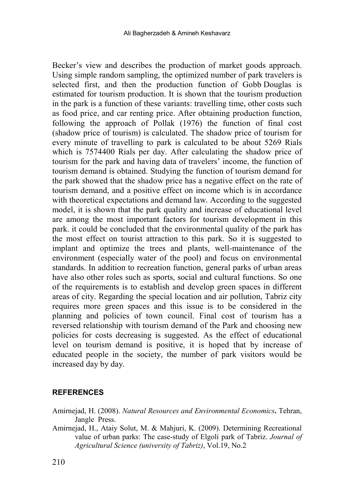Becker's view and describes the production of market goods approach. Using simple random sampling, the optimized number of park travelers is selected first, and then the production function of Gobb Douglas is estimated for tourism production. It is shown that the tourism production in the park is a function of these variants: travelling time, other costs such as food price, and car renting price. After obtaining production function, following the approach of Pollak (1976) the function of final cost (shadow price of tourism) is calculated. The shadow price of tourism for every minute of travelling to park is calculated to be about 5269 Rials which is 7574400 Rials per day. After calculating the shadow price of tourism for the park and having data of travelers' income, the function of tourism demand is obtained. Studying the function of tourism demand for the park showed that the shadow price has a negative effect on the rate of tourism demand, and a positive effect on income which is in accordance with theoretical expectations and demand law. According to the suggested model, it is shown that the park quality and increase of educational level are among the most important factors for tourism development in this park. it could be concluded that the environmental quality of the park has the most effect on tourist attraction to this park. So it is suggested to implant and optimize the trees and plants, well-maintenance of the environment (especially water of the pool) and focus on environmental standards. In addition to recreation function, general parks of urban areas have also other roles such as sports, social and cultural functions. So one of the requirements is to establish and develop green spaces in different areas of city. Regarding the special location and air pollution, Tabriz city requires more green spaces and this issue is to be considered in the planning and policies of town council. Final cost of tourism has a reversed relationship with tourism demand of the Park and choosing new policies for costs decreasing is suggested. As the effect of educational level on tourism demand is positive, it is hoped that by increase of educated people in the society, the number of park visitors would be increased day by day.

### **REFERENCES**

- Amirnejad, H. (2008). *Natural Resources and Environmental Economics***.** Tehran, Jangle Press.
- Amirnejad, H., Ataiy Solut, M. & Mahjuri, K. (2009). Determining Recreational value of urban parks: The case-study of Elgoli park of Tabriz. *Journal of Agricultural Science (university of Tabriz)*, Vol.19, No.2